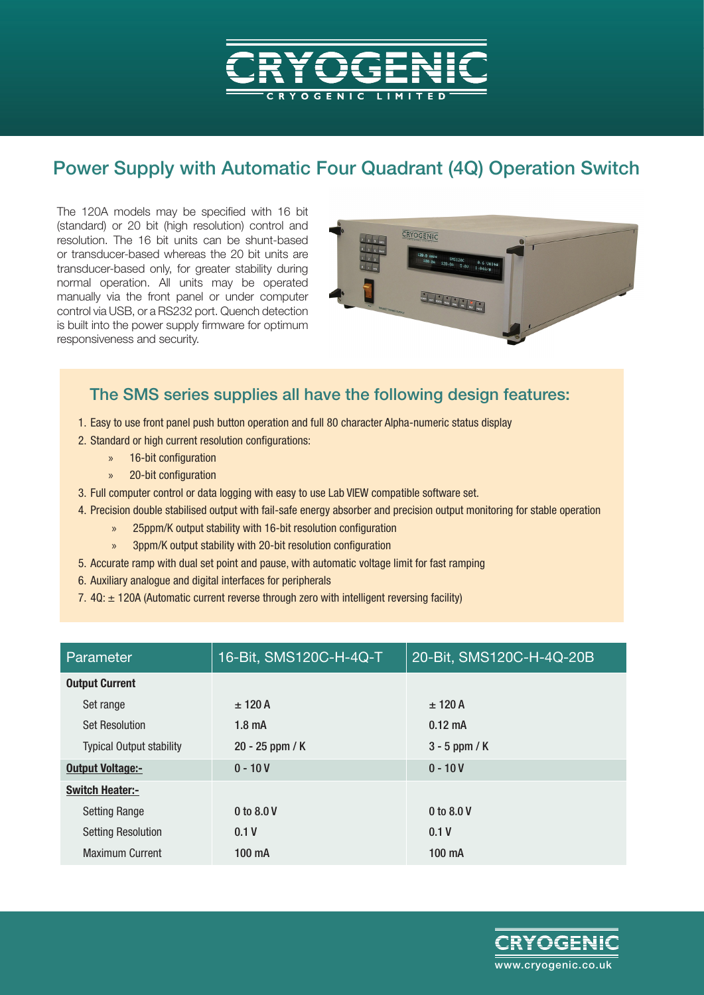## Power Supply with Automatic Four Quadrant (4Q) Operation Switch

The 120A models may be specified with 16 bit (standard) or 20 bit (high resolution) control and resolution. The 16 bit units can be shunt-based or transducer-based whereas the 20 bit units are transducer-based only, for greater stability during normal operation. All units may be operated manually via the front panel or under computer control via USB, or a RS232 port. Quench detection is built into the power supply firmware for optimum responsiveness and security.



#### The SMS series supplies all have the following design features:

- 1. Easy to use front panel push button operation and full 80 character Alpha-numeric status display
- 2. Standard or high current resolution configurations:
	- » 16-bit configuration
	- » 20-bit configuration
- 3. Full computer control or data logging with easy to use Lab VIEW compatible software set.
- 4. Precision double stabilised output with fail-safe energy absorber and precision output monitoring for stable operation
	- » 25ppm/K output stability with 16-bit resolution configuration
	- » 3ppm/K output stability with 20-bit resolution configuration
- 5. Accurate ramp with dual set point and pause, with automatic voltage limit for fast ramping
- 6. Auxiliary analogue and digital interfaces for peripherals
- 7.  $4Q: \pm 120A$  (Automatic current reverse through zero with intelligent reversing facility)

| Parameter                       | 16-Bit, SMS120C-H-4Q-T | 20-Bit, SMS120C-H-4Q-20B |  |
|---------------------------------|------------------------|--------------------------|--|
| <b>Output Current</b>           |                        |                          |  |
| Set range                       | $± 120$ A              | $± 120$ A                |  |
| <b>Set Resolution</b>           | 1.8 <sub>m</sub> A     | $0.12 \text{ mA}$        |  |
| <b>Typical Output stability</b> | $20 - 25$ ppm / K      | $3 - 5$ ppm / K          |  |
| <b>Output Voltage:-</b>         | $0 - 10V$              | $0 - 10V$                |  |
| <b>Switch Heater:-</b>          |                        |                          |  |
| <b>Setting Range</b>            | 0 to 8.0 V             | 0 to 8.0 V               |  |
| <b>Setting Resolution</b>       | 0.1V                   | 0.1V                     |  |
| <b>Maximum Current</b>          | 100 mA                 | 100 mA                   |  |